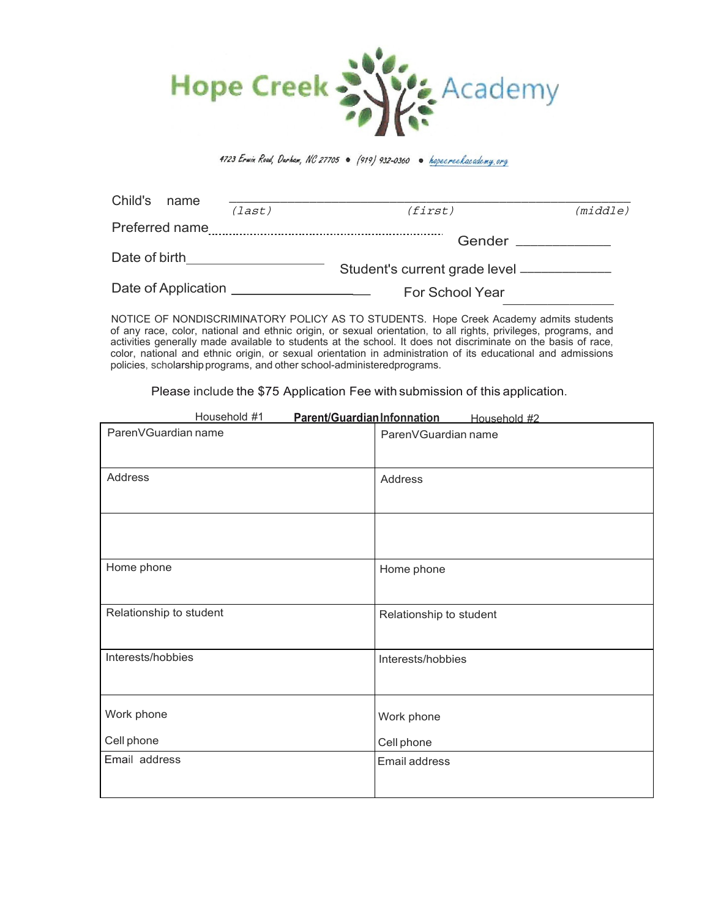

4723 Erwin Road, Darham, NC 27705 . (919) 932-0360 . hopecreekacademy.org

| Child's             | name           |        |                                     |          |  |
|---------------------|----------------|--------|-------------------------------------|----------|--|
|                     |                | (last) | <i>(first)</i>                      | (middle) |  |
|                     | Preferred name |        |                                     |          |  |
|                     |                |        | Gender                              |          |  |
| Date of birth       |                |        |                                     |          |  |
|                     |                |        | Student's current grade level _____ |          |  |
| Date of Application |                |        | <b>For School Year</b>              |          |  |
|                     |                |        |                                     |          |  |

NOTICE OF NONDISCRIMINATORY POLICY AS TO STUDENTS. Hope Creek Academy admits students of any race, color, national and ethnic origin, or sexual orientation, to all rights, privileges, programs, and activities generally made available to students at the school. It does not discriminate on the basis of race, color, national and ethnic origin, or sexual orientation in administration of its educational and admissions policies, scholarshipprograms, and other school-administeredprograms.

Please include the \$75 Application Fee with submission of this application.

| Household #1            | Parent/Guardian Infonnation<br>Household #2 |
|-------------------------|---------------------------------------------|
| ParenVGuardian name     | ParenVGuardian name                         |
| Address                 | Address                                     |
| Home phone              | Home phone                                  |
|                         |                                             |
| Relationship to student | Relationship to student                     |
| Interests/hobbies       | Interests/hobbies                           |
| Work phone              | Work phone                                  |
| Cell phone              | Cell phone                                  |
| Email address           | Email address                               |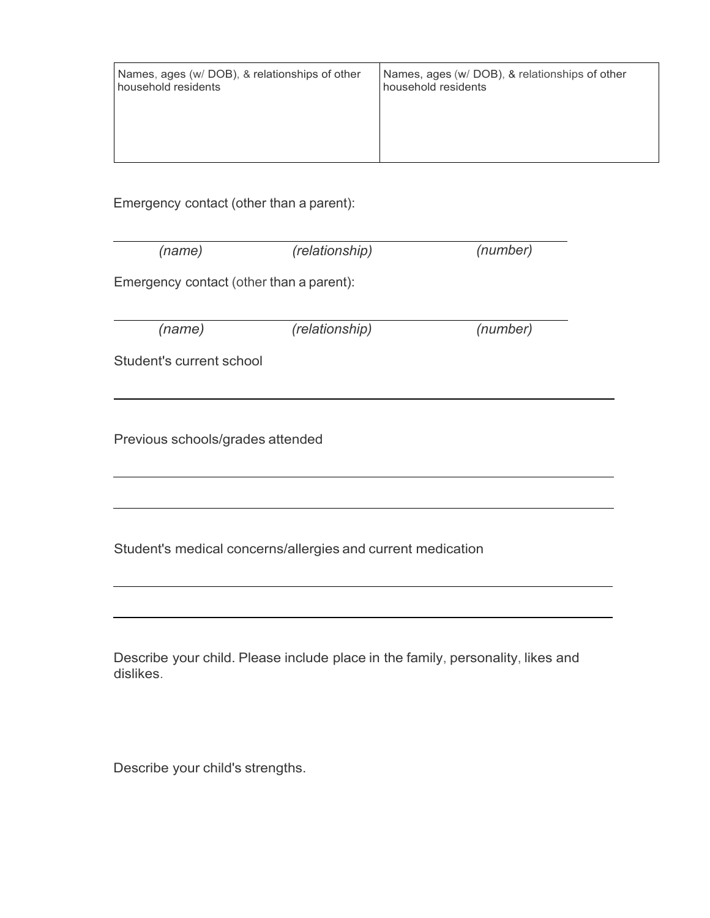| Names, ages (w/ DOB), & relationships of other | Names, ages (w/ DOB), & relationships of other |
|------------------------------------------------|------------------------------------------------|
| household residents                            | household residents                            |
|                                                |                                                |

Emergency contact (other than a parent):

| (name)                                                      | (relationship)                                                                  | (number) |  |  |  |  |  |
|-------------------------------------------------------------|---------------------------------------------------------------------------------|----------|--|--|--|--|--|
| Emergency contact (other than a parent):                    |                                                                                 |          |  |  |  |  |  |
| (name)                                                      | (relationship)                                                                  | (number) |  |  |  |  |  |
| Student's current school                                    |                                                                                 |          |  |  |  |  |  |
|                                                             |                                                                                 |          |  |  |  |  |  |
| Previous schools/grades attended                            |                                                                                 |          |  |  |  |  |  |
|                                                             |                                                                                 |          |  |  |  |  |  |
| Student's medical concerns/allergies and current medication |                                                                                 |          |  |  |  |  |  |
|                                                             |                                                                                 |          |  |  |  |  |  |
| dislikes.                                                   | Describe your child. Please include place in the family, personality, likes and |          |  |  |  |  |  |

Describe your child's strengths.